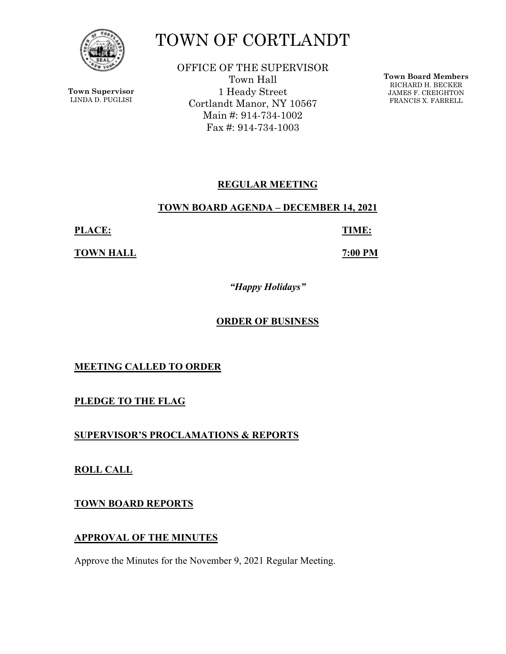

**Town Supervisor** LINDA D. PUGLISI

# TOWN OF CORTLANDT

OFFICE OF THE SUPERVISOR Town Hall 1 Heady Street Cortlandt Manor, NY 10567 Main #: 914-734-1002 Fax #: 914-734-1003

**Town Board Members** RICHARD H. BECKER JAMES F. CREIGHTON FRANCIS X. FARRELL

# **REGULAR MEETING**

#### **TOWN BOARD AGENDA – DECEMBER 14, 2021**

**PLACE: TIME:** 

**TOWN HALL** *TOWN HALL* 

*"Happy Holidays"* 

## **ORDER OF BUSINESS**

**MEETING CALLED TO ORDER** 

**PLEDGE TO THE FLAG** 

**SUPERVISOR'S PROCLAMATIONS & REPORTS** 

**ROLL CALL** 

**TOWN BOARD REPORTS** 

# **APPROVAL OF THE MINUTES**

Approve the Minutes for the November 9, 2021 Regular Meeting.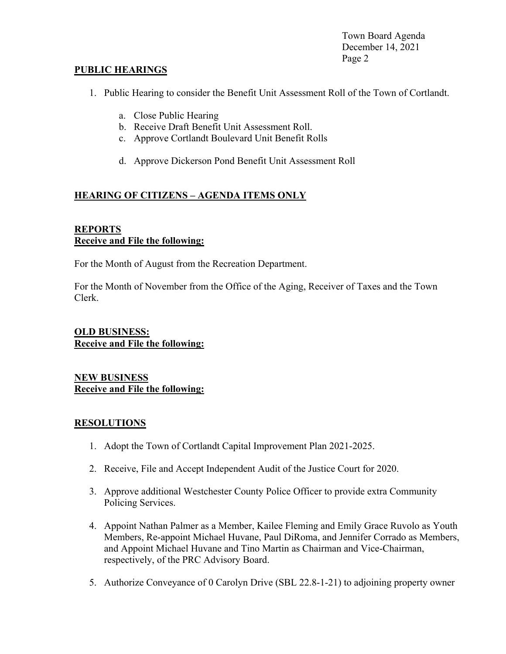Town Board Agenda December 14, 2021 Page 2

#### **PUBLIC HEARINGS**

- 1. Public Hearing to consider the Benefit Unit Assessment Roll of the Town of Cortlandt.
	- a. Close Public Hearing
	- b. Receive Draft Benefit Unit Assessment Roll.
	- c. Approve Cortlandt Boulevard Unit Benefit Rolls
	- d. Approve Dickerson Pond Benefit Unit Assessment Roll

## **HEARING OF CITIZENS – AGENDA ITEMS ONLY**

#### **REPORTS Receive and File the following:**

For the Month of August from the Recreation Department.

For the Month of November from the Office of the Aging, Receiver of Taxes and the Town Clerk.

#### **OLD BUSINESS: Receive and File the following:**

**NEW BUSINESS Receive and File the following:** 

#### **RESOLUTIONS**

- 1. Adopt the Town of Cortlandt Capital Improvement Plan 2021-2025.
- 2. Receive, File and Accept Independent Audit of the Justice Court for 2020.
- 3. Approve additional Westchester County Police Officer to provide extra Community Policing Services.
- 4. Appoint Nathan Palmer as a Member, Kailee Fleming and Emily Grace Ruvolo as Youth Members, Re-appoint Michael Huvane, Paul DiRoma, and Jennifer Corrado as Members, and Appoint Michael Huvane and Tino Martin as Chairman and Vice-Chairman, respectively, of the PRC Advisory Board.
- 5. Authorize Conveyance of 0 Carolyn Drive (SBL 22.8-1-21) to adjoining property owner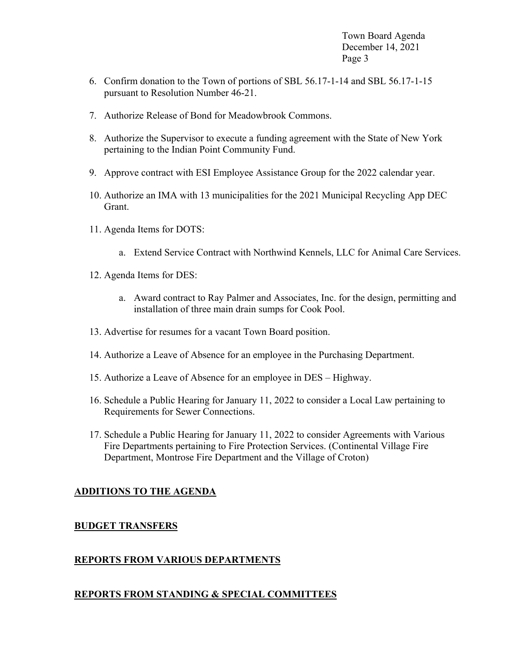Town Board Agenda December 14, 2021 Page 3

- 6. Confirm donation to the Town of portions of SBL 56.17-1-14 and SBL 56.17-1-15 pursuant to Resolution Number 46-21.
- 7. Authorize Release of Bond for Meadowbrook Commons.
- 8. Authorize the Supervisor to execute a funding agreement with the State of New York pertaining to the Indian Point Community Fund.
- 9. Approve contract with ESI Employee Assistance Group for the 2022 calendar year.
- 10. Authorize an IMA with 13 municipalities for the 2021 Municipal Recycling App DEC Grant.
- 11. Agenda Items for DOTS:
	- a. Extend Service Contract with Northwind Kennels, LLC for Animal Care Services.
- 12. Agenda Items for DES:
	- a. Award contract to Ray Palmer and Associates, Inc. for the design, permitting and installation of three main drain sumps for Cook Pool.
- 13. Advertise for resumes for a vacant Town Board position.
- 14. Authorize a Leave of Absence for an employee in the Purchasing Department.
- 15. Authorize a Leave of Absence for an employee in DES Highway.
- 16. Schedule a Public Hearing for January 11, 2022 to consider a Local Law pertaining to Requirements for Sewer Connections.
- 17. Schedule a Public Hearing for January 11, 2022 to consider Agreements with Various Fire Departments pertaining to Fire Protection Services. (Continental Village Fire Department, Montrose Fire Department and the Village of Croton)

#### **ADDITIONS TO THE AGENDA**

#### **BUDGET TRANSFERS**

#### **REPORTS FROM VARIOUS DEPARTMENTS**

#### **REPORTS FROM STANDING & SPECIAL COMMITTEES**